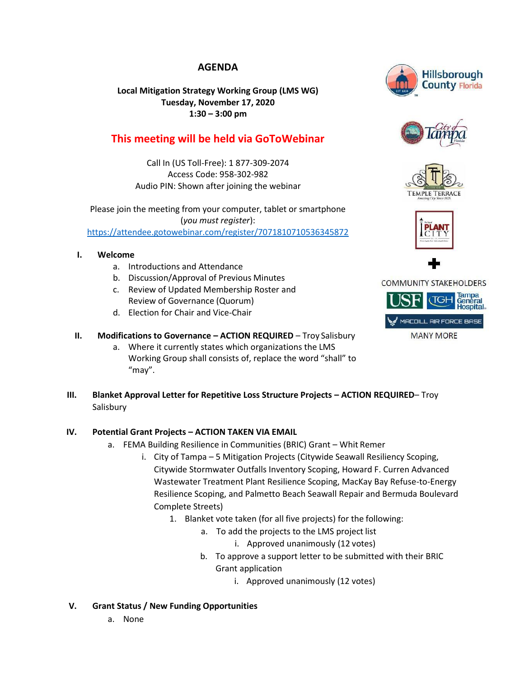## **AGENDA**

**Local Mitigation Strategy Working Group (LMS WG) Tuesday, November 17, 2020 1:30 – 3:00 pm**

# **This meeting will be held via GoToWebinar**

Call In (US Toll-Free): 1 877-309-2074 Access Code: 958-302-982 Audio PIN: Shown after joining the webinar

Please join the meeting from your computer, tablet or smartphone (*you must register*): <https://attendee.gotowebinar.com/register/7071810710536345872>

#### **I. Welcome**

- a. Introductions and Attendance
- b. Discussion/Approval of Previous Minutes
- c. Review of Updated Membership Roster and Review of Governance (Quorum)
- d. Election for Chair and Vice-Chair

## **II. Modifications to Governance – ACTION REQUIRED – Troy Salisbury**

- a. Where it currently states which organizations the LMS Working Group shall consists of, replace the word "shall" to "may".
- **III. Blanket Approval Letter for Repetitive Loss Structure Projects – ACTION REQUIRED** Troy Salisbury

## **IV. Potential Grant Projects – ACTION TAKEN VIA EMAIL**

- a. FEMA Building Resilience in Communities (BRIC) Grant Whit Remer
	- i. City of Tampa 5 Mitigation Projects (Citywide Seawall Resiliency Scoping, Citywide Stormwater Outfalls Inventory Scoping, Howard F. Curren Advanced Wastewater Treatment Plant Resilience Scoping, MacKay Bay Refuse-to-Energy Resilience Scoping, and Palmetto Beach Seawall Repair and Bermuda Boulevard Complete Streets)
		- 1. Blanket vote taken (for all five projects) for the following:
			- a. To add the projects to the LMS project list
				- i. Approved unanimously (12 votes)
			- b. To approve a support letter to be submitted with their BRIC Grant application
				- i. Approved unanimously (12 votes)

## **V. Grant Status / New Funding Opportunities**

a. None









**COMMUNITY STAKEHOLDERS**